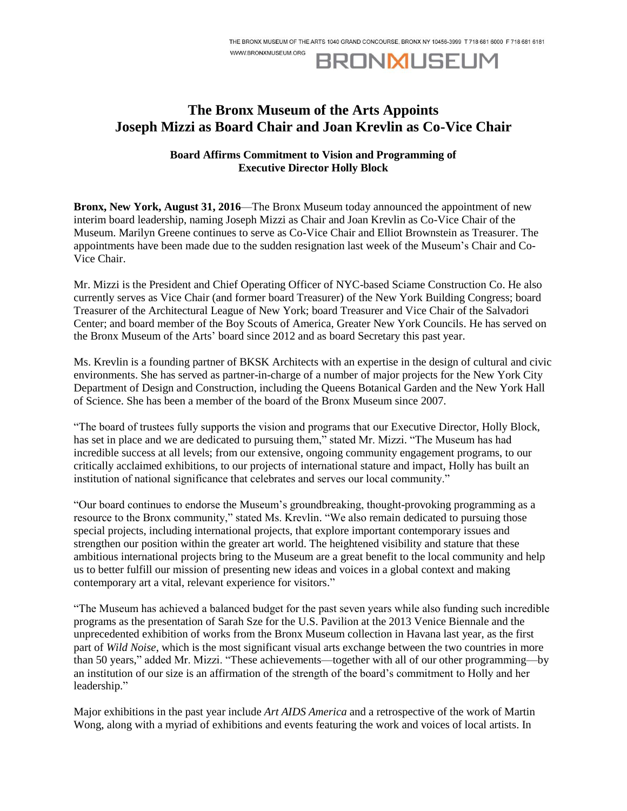WWW.BRONXMUSEUM.ORG

## **BRONMUSEUM**

## **The Bronx Museum of the Arts Appoints Joseph Mizzi as Board Chair and Joan Krevlin as Co-Vice Chair**

## **Board Affirms Commitment to Vision and Programming of Executive Director Holly Block**

**Bronx, New York, August 31, 2016**—The Bronx Museum today announced the appointment of new interim board leadership, naming Joseph Mizzi as Chair and Joan Krevlin as Co-Vice Chair of the Museum. Marilyn Greene continues to serve as Co-Vice Chair and Elliot Brownstein as Treasurer. The appointments have been made due to the sudden resignation last week of the Museum's Chair and Co-Vice Chair.

Mr. Mizzi is the President and Chief Operating Officer of NYC-based Sciame Construction Co. He also currently serves as Vice Chair (and former board Treasurer) of the New York Building Congress; board Treasurer of the Architectural League of New York; board Treasurer and Vice Chair of the Salvadori Center; and board member of the Boy Scouts of America, Greater New York Councils. He has served on the Bronx Museum of the Arts' board since 2012 and as board Secretary this past year.

Ms. Krevlin is a founding partner of BKSK Architects with an expertise in the design of cultural and civic environments. She has served as partner-in-charge of a number of major projects for the New York City Department of Design and Construction, including the Queens Botanical Garden and the New York Hall of Science. She has been a member of the board of the Bronx Museum since 2007.

"The board of trustees fully supports the vision and programs that our Executive Director, Holly Block, has set in place and we are dedicated to pursuing them," stated Mr. Mizzi. "The Museum has had incredible success at all levels; from our extensive, ongoing community engagement programs, to our critically acclaimed exhibitions, to our projects of international stature and impact, Holly has built an institution of national significance that celebrates and serves our local community."

"Our board continues to endorse the Museum's groundbreaking, thought-provoking programming as a resource to the Bronx community," stated Ms. Krevlin. "We also remain dedicated to pursuing those special projects, including international projects, that explore important contemporary issues and strengthen our position within the greater art world. The heightened visibility and stature that these ambitious international projects bring to the Museum are a great benefit to the local community and help us to better fulfill our mission of presenting new ideas and voices in a global context and making contemporary art a vital, relevant experience for visitors."

"The Museum has achieved a balanced budget for the past seven years while also funding such incredible programs as the presentation of Sarah Sze for the U.S. Pavilion at the 2013 Venice Biennale and the unprecedented exhibition of works from the Bronx Museum collection in Havana last year, as the first part of *Wild Noise*, which is the most significant visual arts exchange between the two countries in more than 50 years," added Mr. Mizzi. "These achievements—together with all of our other programming—by an institution of our size is an affirmation of the strength of the board's commitment to Holly and her leadership."

Major exhibitions in the past year include *Art AIDS America* and a retrospective of the work of Martin Wong, along with a myriad of exhibitions and events featuring the work and voices of local artists. In